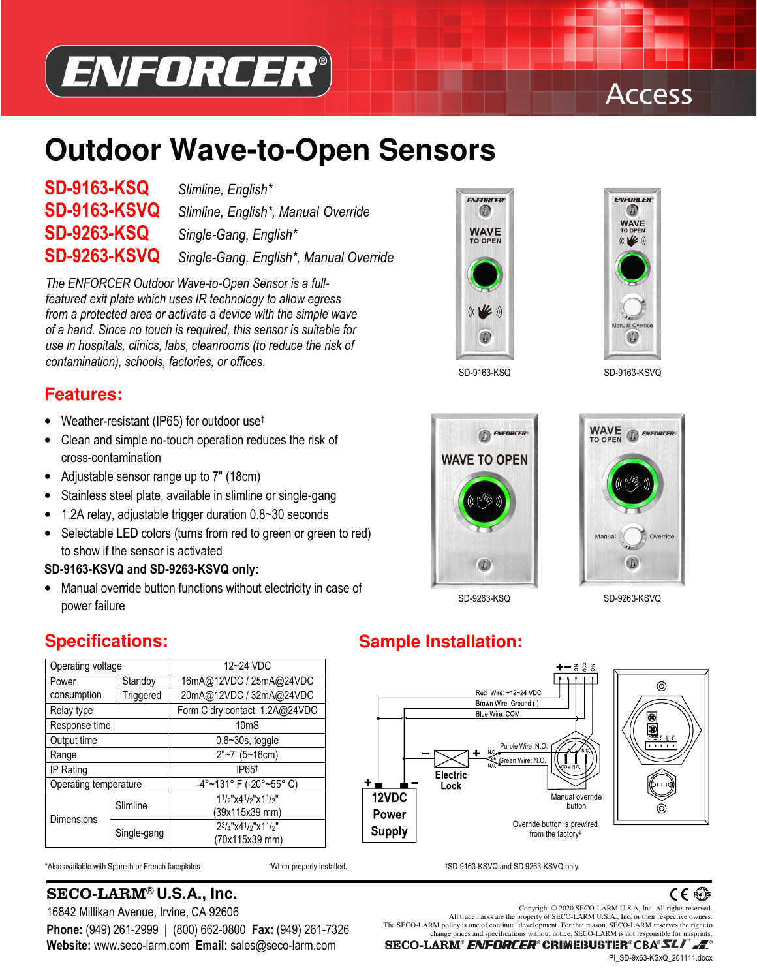

## **Access**

# **Outdoor Wave-to-Open Sensors**

# **SD-9163-KSQ** *Slimline, English\**

**SD-9163-KSVQ** *Slimline, English\*, Manual Override* **SD-9263-KSQ** *Single-Gang, English\** **SD-9263-KSVQ** *Single-Gang, English\*, Manual Override*

*The ENFORCER Outdoor Wave-to-Open Sensor is a fullfeatured exit plate which uses IR technology to allow egress from a protected area or activate a device with the simple wave of a hand. Since no touch is required, this sensor is suitable for use in hospitals, clinics, labs, cleanrooms (to reduce the risk of contamination), schools, factories, or offices.*

#### **Features:**

- Weather-resistant (IP65) for outdoor use†
- Clean and simple no-touch operation reduces the risk of cross-contamination
- Adjustable sensor range up to 7" (18cm)
- Stainless steel plate, available in slimline or single-gang
- 1.2A relay, adjustable trigger duration 0.8~30 seconds
- Selectable LED colors (turns from red to green or green to red) to show if the sensor is activated
- **SD-9163-KSVQ and SD-9263-KSVQ only:**
- Manual override button functions without electricity in case of power failure





SD-9163-KSQ SD-9163-KSVQ



0

ENFORCER

Override

**WAVE**<br>TO OPEN



ON.

#### **Specifications:**

| Operating voltage     |             | 12~24 VDC                         |  |  |
|-----------------------|-------------|-----------------------------------|--|--|
| Standby<br>Power      |             | 16mA@12VDC / 25mA@24VDC           |  |  |
| consumption           | Triggered   | 20mA@12VDC / 32mA@24VDC           |  |  |
| Relay type            |             | Form C dry contact, 1.2A@24VDC    |  |  |
| Response time         |             | 10 <sub>m</sub> S                 |  |  |
| Output time           |             | $0.8 - 30s$ , toggle              |  |  |
| Range                 |             | 2"~7' (5~18cm)                    |  |  |
| IP Rating             |             | IP65 <sup>+</sup>                 |  |  |
| Operating temperature |             | $-4^{\circ}$ ~131° F (-20°~55° C) |  |  |
| <b>Dimensions</b>     | Slimline    | $11/2$ "x4 $1/2$ "x1 $1/2$ "      |  |  |
|                       |             | (39x115x39 mm)                    |  |  |
|                       | Single-gang | 23/4"x41/2"x11/2"                 |  |  |
|                       |             | (70x115x39 mm)                    |  |  |

**Website:** www.seco-larm.com **Email:** sales@seco-larm.com

\*Also available with Spanish or French faceplates †When properly installed. ‡SD-9163-KSVQ and SD 9263-KSVQ only

SECO-LARM® **U.S.A., Inc.**



**Sample Installation:**





16842 Millikan Avenue, Irvine, CA 92606<br>All trademarks are the property of SECO-LARM U.S.A., Inc. or their respective owners. **Phone:** (949) 261-2999 | (800) 662-0800 **Fax:** (949) 261-7326<br>Website: www.seco-larm.com **Email:** sales@seco-larm.com **SECO-LARM**<sup>®</sup> CO-LARM<sup>®</sup> ENFORCER<sup>®</sup> CRIMEBUSTER<sup>®</sup>CB& SECO-LARM is not responsible for misprints.

PI\_SD-9x63-KSxQ\_201111.docx